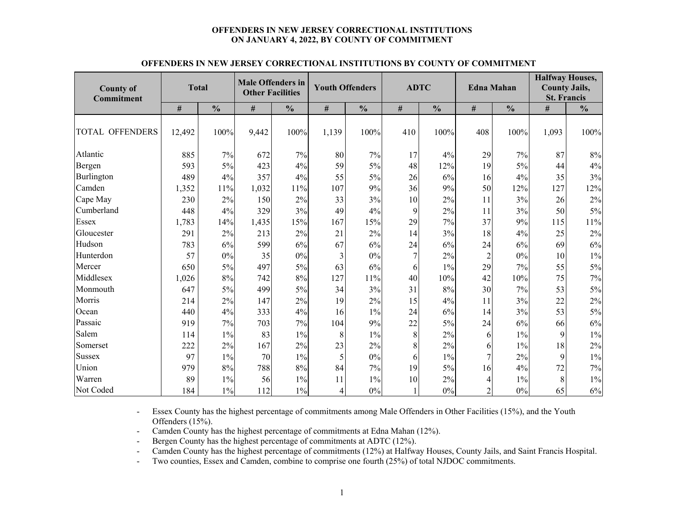#### **OFFENDERS IN NEW JERSEY CORRECTIONAL INSTITUTIONS ON JANUARY 4, 2022, BY COUNTY OF COMMITMENT**

|                        |              |               | <b>Male Offenders in</b> |               |                        |               |     |               |                   |               | <b>Halfway Houses,</b><br><b>County Jails,</b> |               |  |  |  |
|------------------------|--------------|---------------|--------------------------|---------------|------------------------|---------------|-----|---------------|-------------------|---------------|------------------------------------------------|---------------|--|--|--|
| <b>County of</b>       | <b>Total</b> |               | <b>Other Facilities</b>  |               | <b>Youth Offenders</b> |               |     | <b>ADTC</b>   | <b>Edna Mahan</b> |               |                                                |               |  |  |  |
| <b>Commitment</b>      |              |               |                          |               |                        |               |     |               |                   |               | <b>St. Francis</b>                             |               |  |  |  |
|                        | $\#$         | $\frac{0}{0}$ | #                        | $\frac{0}{0}$ | #                      | $\frac{0}{0}$ | #   | $\frac{0}{0}$ | $\#$              | $\frac{0}{0}$ | $\#$                                           | $\frac{0}{0}$ |  |  |  |
| <b>TOTAL OFFENDERS</b> | 12,492       | 100%          | 9,442                    | 100%          | 1,139                  | 100%          | 410 | 100%          | 408               | 100%          | 1,093                                          | 100%          |  |  |  |
| Atlantic               | 885          | 7%            | 672                      | 7%            | 80                     | 7%            | 17  | 4%            | 29                | 7%            | 87                                             | $8\%$         |  |  |  |
| Bergen                 | 593          | 5%            | 423                      | 4%            | 59                     | 5%            | 48  | 12%           | 19                | 5%            | 44                                             | $4\%$         |  |  |  |
| Burlington             | 489          | 4%            | 357                      | 4%            | 55                     | $5\%$         | 26  | 6%            | 16                | 4%            | 35                                             | 3%            |  |  |  |
| Camden                 | 1,352        | 11%           | 1,032                    | 11%           | 107                    | 9%            | 36  | 9%            | 50                | 12%           | 127                                            | 12%           |  |  |  |
| Cape May               | 230          | 2%            | 150                      | 2%            | 33                     | 3%            | 10  | 2%            | 11                | 3%            | 26                                             | 2%            |  |  |  |
| Cumberland             | 448          | 4%            | 329                      | 3%            | 49                     | 4%            | 9   | 2%            | 11                | 3%            | 50                                             | $5\%$         |  |  |  |
| Essex                  | 1,783        | 14%           | 1,435                    | 15%           | 167                    | 15%           | 29  | 7%            | 37                | 9%            | 115                                            | $11\%$        |  |  |  |
| Gloucester             | 291          | 2%            | 213                      | 2%            | 21                     | 2%            | 14  | 3%            | 18                | 4%            | 25                                             | 2%            |  |  |  |
| Hudson                 | 783          | 6%            | 599                      | 6%            | 67                     | 6%            | 24  | 6%            | 24                | 6%            | 69                                             | 6%            |  |  |  |
| Hunterdon              | 57           | 0%            | 35                       | 0%            | 3                      | $0\%$         | 7   | 2%            | $\overline{c}$    | 0%            | 10                                             | $1\%$         |  |  |  |
| Mercer                 | 650          | 5%            | 497                      | 5%            | 63                     | 6%            | 6   | $1\%$         | 29                | 7%            | 55                                             | $5\%$         |  |  |  |
| Middlesex              | 1,026        | 8%            | 742                      | 8%            | 127                    | 11%           | 40  | 10%           | 42                | 10%           | 75                                             | 7%            |  |  |  |
| Monmouth               | 647          | 5%            | 499                      | 5%            | 34                     | 3%            | 31  | 8%            | 30                | 7%            | 53                                             | $5\%$         |  |  |  |
| Morris                 | 214          | 2%            | 147                      | 2%            | 19                     | 2%            | 15  | 4%            | 11                | 3%            | 22                                             | 2%            |  |  |  |
| Ocean                  | 440          | 4%            | 333                      | 4%            | 16                     | $1\%$         | 24  | 6%            | 14                | 3%            | 53                                             | $5\%$         |  |  |  |
| Passaic                | 919          | 7%            | 703                      | 7%            | 104                    | 9%            | 22  | 5%            | 24                | 6%            | 66                                             | 6%            |  |  |  |
| Salem                  | 114          | $1\%$         | 83                       | $1\%$         | 8                      | $1\%$         | 8   | 2%            | 6                 | $1\%$         | 9                                              | $1\%$         |  |  |  |
| Somerset               | 222          | 2%            | 167                      | 2%            | 23                     | 2%            | 8   | 2%            | 6                 | $1\%$         | 18                                             | 2%            |  |  |  |
| Sussex                 | 97           | $1\%$         | 70                       | $1\%$         | 5                      | 0%            | 6   | $1\%$         | 7                 | 2%            | 9                                              | $1\%$         |  |  |  |
| Union                  | 979          | 8%            | 788                      | $8\%$         | 84                     | 7%            | 19  | 5%            | 16                | 4%            | 72                                             | 7%            |  |  |  |
| Warren                 | 89           | $1\%$         | 56                       | $1\%$         | 11                     | $1\%$         | 10  | 2%            | 4                 | 1%            | 8                                              | $1\%$         |  |  |  |
| Not Coded              | 184          | $1\%$         | 112                      | $1\%$         | $\overline{4}$         | $0\%$         |     | $0\%$         | $\sqrt{2}$        | $0\%$         | 65                                             | $6\%$         |  |  |  |

#### **OFFENDERS IN NEW JERSEY CORRECTIONAL INSTITUTIONS BY COUNTY OF COMMITMENT**

- Essex County has the highest percentage of commitments among Male Offenders in Other Facilities (15%), and the Youth Offenders (15%).

-Camden County has the highest percentage of commitments at Edna Mahan (12%).

-Bergen County has the highest percentage of commitments at ADTC (12%).

-Camden County has the highest percentage of commitments (12%) at Halfway Houses, County Jails, and Saint Francis Hospital.

-Two counties, Essex and Camden, combine to comprise one fourth (25%) of total NJDOC commitments.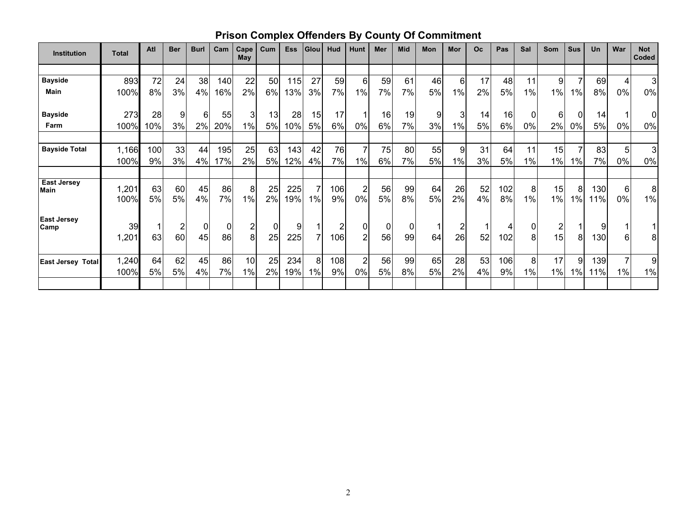# **Prison Complex Offenders By County Of Commitment**

| <b>Institution</b>         | <b>Total</b>  | Atl      | <b>Ber</b> | <b>Burl</b> | Cam      | Cape<br>May             | Cum         | <b>Ess</b> | Glou | Hud       | Hunt                 | Mer          | <b>Mid</b> | Mon      | Mor            | <b>Oc</b> | Pas       | Sal        | Som             | <b>Sus</b>   | Un         | War     | <b>Not</b><br>Coded |
|----------------------------|---------------|----------|------------|-------------|----------|-------------------------|-------------|------------|------|-----------|----------------------|--------------|------------|----------|----------------|-----------|-----------|------------|-----------------|--------------|------------|---------|---------------------|
|                            |               |          |            |             |          |                         |             |            |      |           |                      |              |            |          |                |           |           |            |                 |              |            |         |                     |
| <b>Bayside</b>             | 893           | 72       | 24         | 38          | 140      | 22                      | 50          | 115        | 27   | 59        | 6                    | 59           | 61         | 46       | 6              | 17        | 48        | 11         | 9 <sub>l</sub>  |              | 69         | 4       | 3                   |
| Main                       | 100%          | 8%       | 3%         | 4%          | 16%      | 2%                      | 6%          | 13%        | 3%   | 7%        | 1%                   | 7%           | 7%         | 5%       | 1%             | 2%        | 5%        | 1%         | 1%              | 1%           | 8%         | 0%      | 0%                  |
| <b>Bayside</b>             | 273           | 28       | 9          | 61          | 55       | 31                      | 13          | 28         | 15   | 17        |                      | 16           | 19         | 9        | 3              | 14        | 16        | 0          | 6               | $\mathbf{0}$ | 14         |         | 0                   |
| Farm                       | 100%          | 10%      | 3%         | 2%          | 20%      | 1%                      | 5%          | 10%        | 5%   | 6%        | 0%                   | 6%           | 7%         | 3%       | 1%             | 5%        | 6%        | 0%         | 2%              | 0%           | 5%         | 0%      | $0\%$               |
| <b>Bayside Total</b>       | 1,166         | 100      | 33         | 44          | 195      | 25                      | 63          | 143        | 42   | 76        | $\overline{7}$       | 75           | 80         | 55       | $\overline{9}$ | 31        | 64        | 11         | 15              |              | 83         | 5       | 3                   |
|                            | 100%          | 9%       | 3%         | $4\%$       | 17%      | 2%                      | 5%          | 12%        | 4%   | 7%        | 1%                   | 6%           | 7%         | 5%       | 1%             | 3%        | 5%        | 1%         | 1%              | 1%           | 7%         | 0%      | $0\%$               |
| <b>East Jersey</b>         |               |          |            |             |          |                         |             |            |      |           |                      |              |            |          |                |           |           |            |                 |              |            |         |                     |
| <b>Main</b>                | 1,201<br>100% | 63<br>5% | 60<br>5%   | 45<br>4%    | 86<br>7% | 8 <sup>1</sup><br>$1\%$ | 25<br>2%    | 225<br>19% | 1%   | 106<br>9% | $\overline{2}$<br>0% | 56<br>5%     | 99<br>8%   | 64<br>5% | 26<br>2%       | 52<br>4%  | 102<br>8% | 8<br>$1\%$ | 15<br>1%        | 8<br>$1\%$   | 130<br>11% | 6<br>0% | $\bf 8$<br>1%       |
| <b>East Jersey</b><br>Camp | 39            |          |            | 0           | 0        | $\overline{2}$          | $\mathbf 0$ | 9          |      | 2         |                      | $\mathbf{0}$ |            |          | 2              | 1         |           | 0          | 2               |              | 9          |         |                     |
|                            | 1,201         | 63       | 60         | 45          | 86       | 8 <sup>1</sup>          | 25          | 225        |      | 106       | $\overline{2}$       | 56           | 99         | 64       | 26             | 52        | 102       | 8          | 15 <sup>1</sup> | 8            | 130        | 6       | 8                   |
| <b>East Jersey Total</b>   | 1,240         | 64       | 62         | 45          | 86       | 10                      | 25          | 234        | 8    | 108       | 2 <sub>l</sub>       | 56           | 99         | 65       | 28             | 53        | 106       | 8          | 17              | 9            | 139        |         | 9                   |
|                            | 100%          | 5%       | 5%         | 4%          | 7%       | 1%                      | 2%          | 19%        | 1%   | 9%        | 0%                   | 5%           | 8%         | 5%       | 2%             | 4%        | 9%        | $1\%$      | 1%              | 1%           | 11%        | 1%      | $1\%$               |
|                            |               |          |            |             |          |                         |             |            |      |           |                      |              |            |          |                |           |           |            |                 |              |            |         |                     |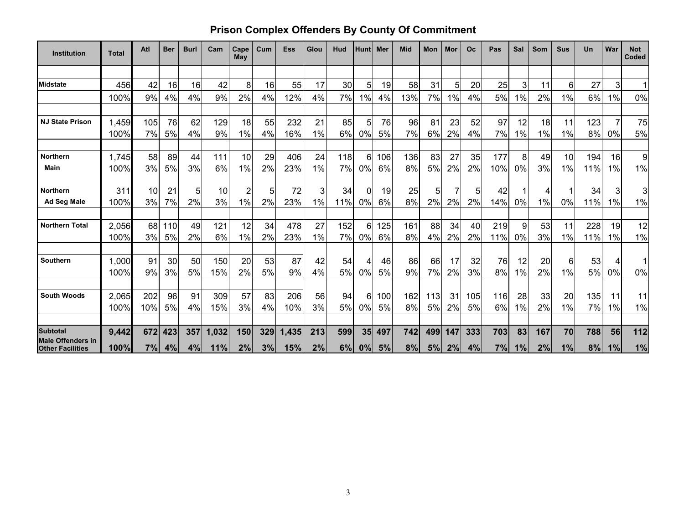# **Prison Complex Offenders By County Of Commitment**

| <b>Institution</b>                                  | <b>Total</b>  | Atl      | <b>Ber</b> | <b>Burl</b> | Cam   | Cape<br>May | Cum      | <b>Ess</b> | Glou     | Hud | <b>Hunt</b> | l Mer | Mid      | Mon      | Mor | <b>Oc</b> | Pas | Sal      | Som      | <b>Sus</b> | Un       | War   | <b>Not</b><br>Coded |
|-----------------------------------------------------|---------------|----------|------------|-------------|-------|-------------|----------|------------|----------|-----|-------------|-------|----------|----------|-----|-----------|-----|----------|----------|------------|----------|-------|---------------------|
|                                                     |               |          |            |             |       |             |          |            |          |     |             |       |          |          |     |           |     |          |          |            |          |       |                     |
| <b>Midstate</b>                                     | 456           | 42       | 16         | 16          | 42    | 8           | 16       | 55         | 17       | 30  | 5           | 19    | 58       | 31       | 5   | 20        | 25  | 3        | 11       | 6          | 27       | 3     | 1                   |
|                                                     | 100%          | 9%       | 4%         | 4%          | 9%    | 2%          | 4%       | 12%        | 4%       | 7%  | 1%          | 4%    | 13%      | 7%       | 1%  | 4%        | 5%  | 1%       | 2%       | 1%         | 6%       | 1%    | 0%                  |
|                                                     |               |          |            |             |       |             |          |            |          |     |             |       |          |          |     |           |     |          |          |            |          |       |                     |
| <b>NJ State Prison</b>                              | 1,459         | 105      | 76         | 62          | 129   | 18          | 55       | 232        | 21       | 85  | 5           | 76    | 96       | 81       | 23  | 52        | 97  | 12       | 18       | 11         | 123      |       | 75                  |
|                                                     | 100%          | 7%       | 5%         | 4%          | 9%    | 1%          | 4%       | 16%        | $1\%$    | 6%  | 0%          | 5%    | 7%       | 6%       | 2%  | 4%        | 7%  | 1%       | 1%       | 1%         | 8%       | $0\%$ | 5%                  |
| <b>Northern</b>                                     | 1,745         | 58       | 89         | 44          | 111   | 10          | 29       | 406        | 24       | 118 | 6           | 106   | 136      | 83       | 27  | 35        | 177 | 8        | 49       | 10         | 194      | 16    | $\boldsymbol{9}$    |
| Main                                                | 100%          | 3%       | 5%         | 3%          | 6%    | 1%          | 2%       | 23%        | 1%       | 7%  | 0%          | 6%    | 8%       | 5%       | 2%  | 2%        | 10% | 0%       | 3%       | 1%         | 11%      | 1%    | $1\%$               |
| <b>Northern</b>                                     | 311           | 10       | 21         | 5           | 10    | 2           | 51       | 72         | 3        | 34  | 0           | 19    | 25       | 5        | 7   | 5         | 42  |          |          |            | 34       | 3     | 3                   |
| Ad Seg Male                                         | 100%          | 3%       | 7%         | 2%          | 3%    | $1\%$       | 2%       | 23%        | $1\%$    | 11% | $0\%$       | 6%    | 8%       | 2%       | 2%  | 2%        | 14% | 0%       | 1%       | 0%         | 11%      | 1%    | 1%                  |
| <b>Northern Total</b>                               | 2,056         | 68       | 110        | 49          | 121   | 12          | 34       | 478        | 27       | 152 | 6           | 125   | 161      | 88       | 34  | 40        | 219 | 9        | 53       | 11         | 228      | 19    | 12                  |
|                                                     | 100%          | 3%       | 5%         | 2%          | 6%    | 1%          | 2%       | 23%        | 1%       | 7%  | 0%          | 6%    | 8%       | 4%       | 2%  | 2%        | 11% | 0%       | 3%       | 1%         | 11%      | 1%    | 1%                  |
|                                                     |               |          |            |             |       |             |          |            |          |     |             |       |          |          |     |           |     |          |          |            |          |       |                     |
| Southern                                            | 1,000<br>100% | 91<br>9% | 30         | 50<br>5%    | 150   | 20<br>2%    | 53<br>5% | 87<br>9%   | 42<br>4% | 54  | 4           | 46    | 86<br>9% | 66<br>7% | 17  | 32<br>3%  | 76  | 12<br>1% | 20<br>2% | 6<br>1%    | 53<br>5% | 0%    | 1                   |
|                                                     |               |          | 3%         |             | 15%   |             |          |            |          | 5%  | 0%          | 5%    |          |          | 2%  |           | 8%  |          |          |            |          |       | $0\%$               |
| <b>South Woods</b>                                  | 2,065         | 202      | 96         | 91          | 309   | 57          | 83       | 206        | 56       | 94  | 6           | 100   | 162      | 113      | 31  | 105       | 116 | 28       | 33       | 20         | 135      | 11    | 11                  |
|                                                     | 100%          | 10%      | 5%         | 4%          | 15%   | 3%          | 4%       | 10%        | 3%       | 5%  | 0%          | 5%    | 8%       | 5%       | 2%  | 5%        | 6%  | 1%       | 2%       | 1%         | 7%       | 1%    | 1%                  |
| <b>Subtotal</b>                                     | 9,442         | 672      | 423        | 357         | 1,032 | 150         | 329      | 1,435      | 213      | 599 | 35          | 497   | 742      | 499      | 147 | 333       | 703 | 83       | 167      | 70         | 788      | 56    | 112                 |
| <b>Male Offenders in</b><br><b>Other Facilities</b> | 100%          | 7%       | 4%         | 4%          | 11%   | 2%          | 3%       | 15%        | 2%       | 6%  | 0%          | 5%    | 8%       | 5%       | 2%  | 4%        | 7%  | 1%       | 2%       | 1%         | 8%       | 1%    | 1%                  |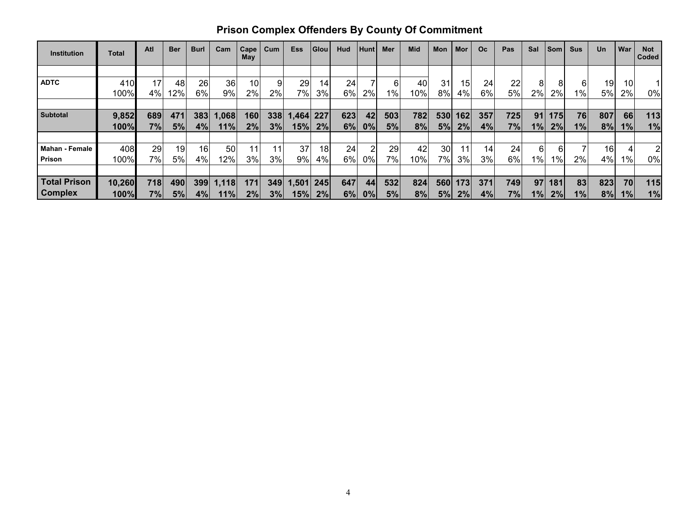| <b>Institution</b>    | Total  | Atl | <b>Ber</b> | <b>Burl</b>     | Cam   | Cape<br>May | Cum | <b>Ess</b> | Glou | Hud | Hunt  | <b>Mer</b> | Mid | <b>Mon</b> | Mor | <b>Oc</b> | Pas | Sal               | <b>Som</b> | <b>Sus</b> | <b>Un</b>       | War       | <b>Not</b><br>Coded |
|-----------------------|--------|-----|------------|-----------------|-------|-------------|-----|------------|------|-----|-------|------------|-----|------------|-----|-----------|-----|-------------------|------------|------------|-----------------|-----------|---------------------|
|                       |        |     |            |                 |       |             |     |            |      |     |       |            |     |            |     |           |     |                   |            |            |                 |           |                     |
| <b>ADTC</b>           | 410    | 17  | 48         | 26              | 36    | 10          |     | 29         | 14   | 24  |       | 6          | 40  | 31         | 15  | 24        | 22  |                   | 8          | 61         | 19              | 10        |                     |
|                       | 100%   | 4%  | 12%        | 6%              | $9\%$ | 2%          | 2%  | 7%         | 3%   | 6%  | 2%    | 1%         | 10% | 8%         | 4%  | 6%        | 5%  | 2%                | 2%         | $1\%$      | 5%              | 2%        | 0%                  |
|                       |        |     |            |                 |       |             |     |            |      |     |       |            |     |            |     |           |     |                   |            |            |                 |           |                     |
| <b>Subtotal</b>       | 9,852  | 689 | 471        | 383             | 1,068 | 160         | 338 | 1,464 227  |      | 623 | 42    | 503        | 782 | 530        | 162 | 357       | 725 | 91 <sub>1</sub>   | 175        | 76         | 807             | 66        | 113                 |
|                       | 100%   | 7%  | 5%         | 4%              | 11%   | 2%          | 3%  | 15%        | 2%   | 6%  | 0%    | 5%         | 8%  | 5%         | 2%  | 4%        | 7%  | $1\%$             | 2%         | 1%         | 8%              | 1%        | 1%                  |
|                       |        |     |            |                 |       |             |     |            |      |     |       |            |     |            |     |           |     |                   |            |            |                 |           |                     |
| <b>Mahan - Female</b> | 408    | 29  | 19         | 16 <sup>1</sup> | 50    |             |     | 37         | 18   | 24  | 2     | 29         | 42  | 30         |     | 14        | 24  | 61                | 61         |            | 16 <sub>1</sub> |           | 2                   |
| Prison                | 100%   | 7%  | <b>5%</b>  | 4%              | 12%   | 3%          | 3%  | 9%         | 4%   | 6%  | $0\%$ | 7%         | 10% | 7%         | 3%  | 3%        | 6%  | 1% $\blacksquare$ | $1\%$      | 2%         | 4%              | 1%        | 0%                  |
|                       |        |     |            |                 |       |             |     |            |      |     |       |            |     |            |     |           |     |                   |            |            |                 |           |                     |
| <b>Total Prison</b>   | 10,260 | 718 | 490        | 399             | 1,118 | 171         | 349 | $-1,501$   | 245  | 647 | 44    | 532        | 824 | 560        | 173 | 371       | 749 | 97 <sub>l</sub>   | 181        | 83         | 823             | <b>70</b> | 115                 |
| <b>Complex</b>        | 100%   | 7%  | 5%         | $4\%$           | 11%   | 2%          | 3%  | 15%        | 2%   | 6%  | 0%    | 5%         | 8%  | 5%         | 2%  | 4%        | 7%  | 1%                | 2%         | $1\%$      | 8%              | 1%        | 1%                  |

# **Prison Complex Offenders By County Of Commitment**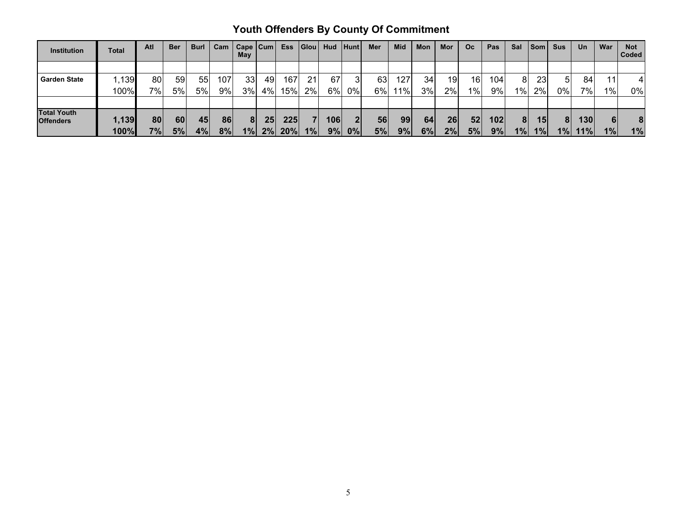# **Youth Offenders By County Of Commitment**

| <b>Institution</b>                     | <b>Total</b>  | Atl      | <b>Ber</b> | <b>Burl</b> | Cam      | $Cape$ $ Cum$<br>May |          | <b>Ess</b> | Glou | <b>Hud</b> | Hunt                      | Mer      | <b>Mid</b> | Mon      | Mor      | <b>Oc</b> | Pas              | Sal                  | l Som I  | <b>Sus</b> | Un          | War     | <b>Not</b><br><b>Coded</b> |
|----------------------------------------|---------------|----------|------------|-------------|----------|----------------------|----------|------------|------|------------|---------------------------|----------|------------|----------|----------|-----------|------------------|----------------------|----------|------------|-------------|---------|----------------------------|
|                                        |               |          |            |             |          |                      |          |            |      |            |                           |          |            |          |          |           |                  |                      |          |            |             |         |                            |
| <b>Garden State</b>                    | ,139          | 80       | 59         | 55          | 107      | 33                   | 49       | 167        | 21   | 67         |                           | 63       | 127        | 34       | 19       | 16        | 104 <sub>1</sub> | 81                   | 23       | 51         | 84          | 11      |                            |
|                                        | 100%          | 7%       | 5%         | 5%          | 9%       | 3%                   | 4%       | 15%        | 2%   | $6\%$      | 0%                        | 6%       | 11%        | 3%       | 2%       | 1%        | 9%               | $1\%$                | 2%       | 0%         | $7\%$       | $1\%$   | 0%                         |
|                                        |               |          |            |             |          |                      |          |            |      |            |                           |          |            |          |          |           |                  |                      |          |            |             |         |                            |
| <b>Total Youth</b><br><b>Offenders</b> | 1,139<br>100% | 80<br>7% | 60<br>5%   | 45<br>4%    | 86<br>8% | 8<br>1%              | 25<br>2% | 225<br>20% | 1%   | 106 <br>9% | $\overline{2}$<br>$ 0\% $ | 56<br>5% | 99<br>9%   | 64<br>6% | 26<br>2% | 52<br>5%  | 102<br>9%        | 8 <sup>1</sup><br>1% | 15<br>1% | 81<br>1%   | 130 <br>11% | 6<br>1% | 8<br>1%                    |